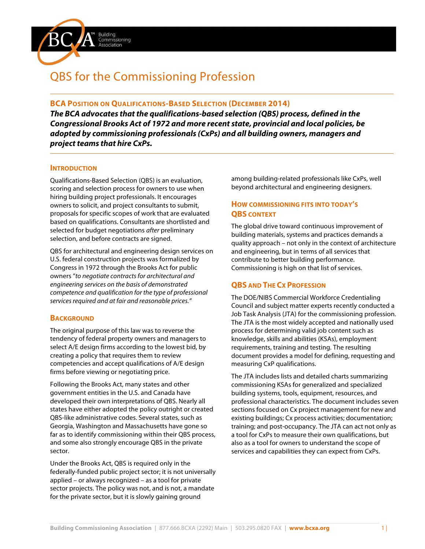

Commissioning Association

#### **BCA POSITION ON QUALIFICATIONS-BASED SELECTION (DECEMBER 2014)**

*The BCA advocates that the qualifications-based selection (QBS) process, defined in the Congressional Brooks Act of 1972 and more recent state, provincial and local policies, be adopted by commissioning professionals (CxPs) and all building owners, managers and project teams that hire CxPs.*

#### **INTRODUCTION**

Qualifications-Based Selection (QBS) is an evaluation, scoring and selection process for owners to use when hiring building project professionals. It encourages owners to solicit, and project consultants to submit, proposals for specific scopes of work that are evaluated based on qualifications. Consultants are shortlisted and selected for budget negotiations *after* preliminary selection, and before contracts are signed.

QBS for architectural and engineering design services on U.S. federal construction projects was formalized by Congress in 1972 through the Brooks Act for public owners "*to negotiate contracts for architectural and engineering services on the basis of demonstrated competence and qualification for the type of professional services required and at fair and reasonable prices."*

#### **BACKGROUND**

The original purpose of this law was to reverse the tendency of federal property owners and managers to select A/E design firms according to the lowest bid, by creating a policy that requires them to review competencies and accept qualifications of A/E design firms before viewing or negotiating price.

Following the Brooks Act, many states and other government entities in the U.S. and Canada have developed their own interpretations of QBS. Nearly all states have either adopted the policy outright or created QBS-like administrative codes. Several states, such as Georgia, Washington and Massachusetts have gone so far as to identify commissioning within their QBS process, and some also strongly encourage QBS in the private sector.

Under the Brooks Act, QBS is required only in the federally-funded public project sector; it is not universally applied – or always recognized – as a tool for private sector projects. The policy was not, and is not, a mandate for the private sector, but it is slowly gaining ground

among building-related professionals like CxPs, well beyond architectural and engineering designers.

# **HOW COMMISSIONING FITS INTO TODAY'S QBS CONTEXT**

The global drive toward continuous improvement of building materials, systems and practices demands a quality approach – not only in the context of architecture and engineering, but in terms of all services that contribute to better building performance. Commissioning is high on that list of services.

# **QBS AND THE CX PROFESSION**

The DOE/NIBS Commercial Workforce Credentialing Council and subject matter experts recently conducted a Job Task Analysis (JTA) for the commissioning profession. The JTA is the most widely accepted and nationally used process for determining valid job content such as knowledge, skills and abilities (KSAs), employment requirements, training and testing. The resulting document provides a model for defining, requesting and measuring CxP qualifications.

The JTA includes lists and detailed charts summarizing commissioning KSAs for generalized and specialized building systems, tools, equipment, resources, and professional characteristics. The document includes seven sections focused on Cx project management for new and existing buildings; Cx process activities; documentation; training; and post-occupancy. The JTA can act not only as a tool for CxPs to measure their own qualifications, but also as a tool for owners to understand the scope of services and capabilities they can expect from CxPs.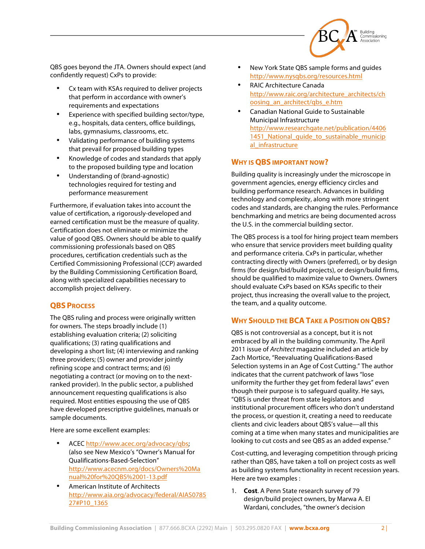

QBS goes beyond the JTA. Owners should expect (and confidently request) CxPs to provide:

- Cx team with KSAs required to deliver projects that perform in accordance with owner's requirements and expectations
- Experience with specified building sector/type, e.g., hospitals, data centers, office buildings, labs, gymnasiums, classrooms, etc.
- Validating performance of building systems that prevail for proposed building types
- Knowledge of codes and standards that apply to the proposed building type and location
- Understanding of (brand-agnostic) technologies required for testing and performance measurement

Furthermore, if evaluation takes into account the value of certification, a rigorously-developed and earned certification must be the measure of quality. Certification does not eliminate or minimize the value of good QBS. Owners should be able to qualify commissioning professionals based on QBS procedures, certification credentials such as the Certified Commissioning Professional (CCP) awarded by the Building Commissioning Certification Board, along with specialized capabilities necessary to accomplish project delivery.

# **QBS PROCESS**

The QBS ruling and process were originally written for owners. The steps broadly include (1) establishing evaluation criteria; (2) soliciting qualifications; (3) rating qualifications and developing a short list; (4) interviewing and ranking three providers; (5) owner and provider jointly refining scope and contract terms; and (6) negotiating a contract (or moving on to the nextranked provider). In the public sector, a published announcement requesting qualifications is also required. Most entities espousing the use of QBS have developed prescriptive guidelines, manuals or sample documents.

Here are some excellent examples:

- ACEC http://www.acec.org/advocacy/qbs; (also see New Mexico's "Owner's Manual for Qualifications-Based-Selection" http://www.acecnm.org/docs/Owners%20Ma nual%20for%20QBS%2001-13.pdf
- American Institute of Architects http://www.aia.org/advocacy/federal/AIAS0785 27#P10\_1365
- New York State QBS sample forms and guides http://www.nysqbs.org/resources.html
- RAIC Architecture Canada http://www.raic.org/architecture\_architects/ch oosing\_an\_architect/qbs\_e.htm
- Canadian National Guide to Sustainable Municipal Infrastructure http://www.researchgate.net/publication/4406 1451 National quide to sustainable municip al\_infrastructure

### **WHY IS QBS IMPORTANT NOW?**

Building quality is increasingly under the microscope in government agencies, energy efficiency circles and building performance research. Advances in building technology and complexity, along with more stringent codes and standards, are changing the rules. Performance benchmarking and metrics are being documented across the U.S. in the commercial building sector.

The QBS process is a tool for hiring project team members who ensure that service providers meet building quality and performance criteria. CxPs in particular, whether contracting directly with Owners (preferred), or by design firms (for design/bid/build projects), or design/build firms, should be qualified to maximize value to Owners. Owners should evaluate CxPs based on KSAs specific to their project, thus increasing the overall value to the project, the team, and a quality outcome.

# **WHY SHOULD THE BCATAKE A POSITION ON QBS?**

QBS is not controversial as a concept, but it is not embraced by all in the building community. The April 2011 issue of *Architect* magazine included an article by Zach Mortice, "Reevaluating Qualifications-Based Selection systems in an Age of Cost Cutting." The author indicates that the current patchwork of laws "lose uniformity the further they get from federal laws" even though their purpose is to safeguard quality. He says, "QBS is under threat from state legislators and institutional procurement officers who don't understand the process, or question it, creating a need to reeducate clients and civic leaders about QBS's value—all this coming at a time when many states and municipalities are looking to cut costs and see QBS as an added expense."

Cost-cutting, and leveraging competition through pricing rather than QBS, have taken a toll on project costs as well as building systems functionality in recent recession years. Here are two examples :

1. **Cost**. A Penn State research survey of 79 design/build project owners, by Marwa A. El Wardani, concludes, "the owner's decision